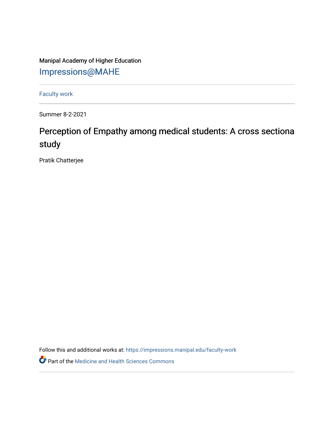Manipal Academy of Higher Education [Impressions@MAHE](https://impressions.manipal.edu/)

[Faculty work](https://impressions.manipal.edu/faculty-work) 

Summer 8-2-2021

## Perception of Empathy among medical students: A cross sectiona study

Pratik Chatterjee

Follow this and additional works at: [https://impressions.manipal.edu/faculty-work](https://impressions.manipal.edu/faculty-work?utm_source=impressions.manipal.edu%2Ffaculty-work%2F111&utm_medium=PDF&utm_campaign=PDFCoverPages) 

Part of the [Medicine and Health Sciences Commons](http://network.bepress.com/hgg/discipline/648?utm_source=impressions.manipal.edu%2Ffaculty-work%2F111&utm_medium=PDF&utm_campaign=PDFCoverPages)